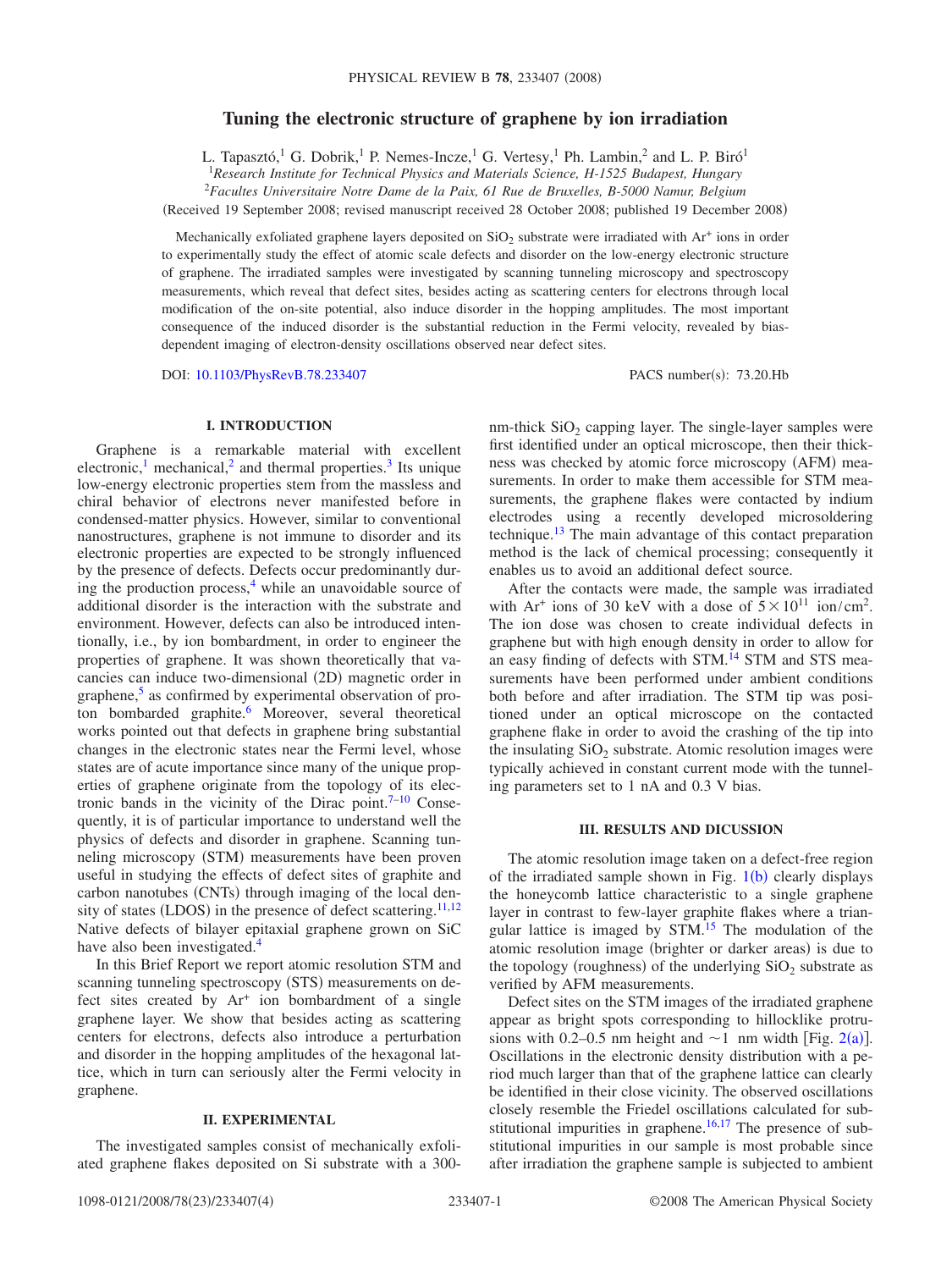# **Tuning the electronic structure of graphene by ion irradiation**

L. Tapasztó,<sup>1</sup> G. Dobrik,<sup>1</sup> P. Nemes-Incze,<sup>1</sup> G. Vertesy,<sup>1</sup> Ph. Lambin,<sup>2</sup> and L. P. Biró<sup>1</sup>

1 *Research Institute for Technical Physics and Materials Science, H-1525 Budapest, Hungary*

2 *Facultes Universitaire Notre Dame de la Paix, 61 Rue de Bruxelles, B-5000 Namur, Belgium*

Received 19 September 2008; revised manuscript received 28 October 2008; published 19 December 2008-

Mechanically exfoliated graphene layers deposited on  $SiO<sub>2</sub>$  substrate were irradiated with Ar<sup>+</sup> ions in order to experimentally study the effect of atomic scale defects and disorder on the low-energy electronic structure of graphene. The irradiated samples were investigated by scanning tunneling microscopy and spectroscopy measurements, which reveal that defect sites, besides acting as scattering centers for electrons through local modification of the on-site potential, also induce disorder in the hopping amplitudes. The most important consequence of the induced disorder is the substantial reduction in the Fermi velocity, revealed by biasdependent imaging of electron-density oscillations observed near defect sites.

DOI: [10.1103/PhysRevB.78.233407](http://dx.doi.org/10.1103/PhysRevB.78.233407)

PACS number(s): 73.20.Hb

### **I. INTRODUCTION**

Graphene is a remarkable material with excellent electronic,<sup>1</sup> mechanical,<sup>2</sup> and thermal properties.<sup>3</sup> Its unique low-energy electronic properties stem from the massless and chiral behavior of electrons never manifested before in condensed-matter physics. However, similar to conventional nanostructures, graphene is not immune to disorder and its electronic properties are expected to be strongly influenced by the presence of defects. Defects occur predominantly during the production process,<sup>4</sup> while an unavoidable source of additional disorder is the interaction with the substrate and environment. However, defects can also be introduced intentionally, i.e., by ion bombardment, in order to engineer the properties of graphene. It was shown theoretically that vacancies can induce two-dimensional (2D) magnetic order in graphene, $5$  as confirmed by experimental observation of proton bombarded graphite.<sup>6</sup> Moreover, several theoretical works pointed out that defects in graphene bring substantial changes in the electronic states near the Fermi level, whose states are of acute importance since many of the unique properties of graphene originate from the topology of its electronic bands in the vicinity of the Dirac point. $7-10$  $7-10$  Consequently, it is of particular importance to understand well the physics of defects and disorder in graphene. Scanning tunneling microscopy (STM) measurements have been proven useful in studying the effects of defect sites of graphite and carbon nanotubes (CNTs) through imaging of the local den-sity of states (LDOS) in the presence of defect scattering.<sup>11[,12](#page-3-9)</sup> Native defects of bilayer epitaxial graphene grown on SiC have also been investigated.<sup>4</sup>

In this Brief Report we report atomic resolution STM and scanning tunneling spectroscopy (STS) measurements on defect sites created by Ar<sup>+</sup> ion bombardment of a single graphene layer. We show that besides acting as scattering centers for electrons, defects also introduce a perturbation and disorder in the hopping amplitudes of the hexagonal lattice, which in turn can seriously alter the Fermi velocity in graphene.

### **II. EXPERIMENTAL**

The investigated samples consist of mechanically exfoliated graphene flakes deposited on Si substrate with a 300nm-thick  $SiO<sub>2</sub>$  capping layer. The single-layer samples were first identified under an optical microscope, then their thickness was checked by atomic force microscopy (AFM) measurements. In order to make them accessible for STM measurements, the graphene flakes were contacted by indium electrodes using a recently developed microsoldering technique.<sup>13</sup> The main advantage of this contact preparation method is the lack of chemical processing; consequently it enables us to avoid an additional defect source.

After the contacts were made, the sample was irradiated with Ar<sup>+</sup> ions of 30 keV with a dose of  $5 \times 10^{11}$  ion/cm<sup>2</sup>. The ion dose was chosen to create individual defects in graphene but with high enough density in order to allow for an easy finding of defects with STM.<sup>14</sup> STM and STS measurements have been performed under ambient conditions both before and after irradiation. The STM tip was positioned under an optical microscope on the contacted graphene flake in order to avoid the crashing of the tip into the insulating  $SiO<sub>2</sub>$  substrate. Atomic resolution images were typically achieved in constant current mode with the tunneling parameters set to 1 nA and 0.3 V bias.

#### **III. RESULTS AND DICUSSION**

The atomic resolution image taken on a defect-free region of the irradiated sample shown in Fig.  $1(b)$  $1(b)$  clearly displays the honeycomb lattice characteristic to a single graphene layer in contrast to few-layer graphite flakes where a triangular lattice is imaged by  $STM<sup>15</sup>$ . The modulation of the atomic resolution image (brighter or darker areas) is due to the topology (roughness) of the underlying  $SiO<sub>2</sub>$  substrate as verified by AFM measurements.

Defect sites on the STM images of the irradiated graphene appear as bright spots corresponding to hillocklike protru-sions with 0.[2](#page-1-1)–0.5 nm height and  $\sim$ 1 nm width [Fig. 2(a)]. Oscillations in the electronic density distribution with a period much larger than that of the graphene lattice can clearly be identified in their close vicinity. The observed oscillations closely resemble the Friedel oscillations calculated for substitutional impurities in graphene. $16,17$  $16,17$  The presence of substitutional impurities in our sample is most probable since after irradiation the graphene sample is subjected to ambient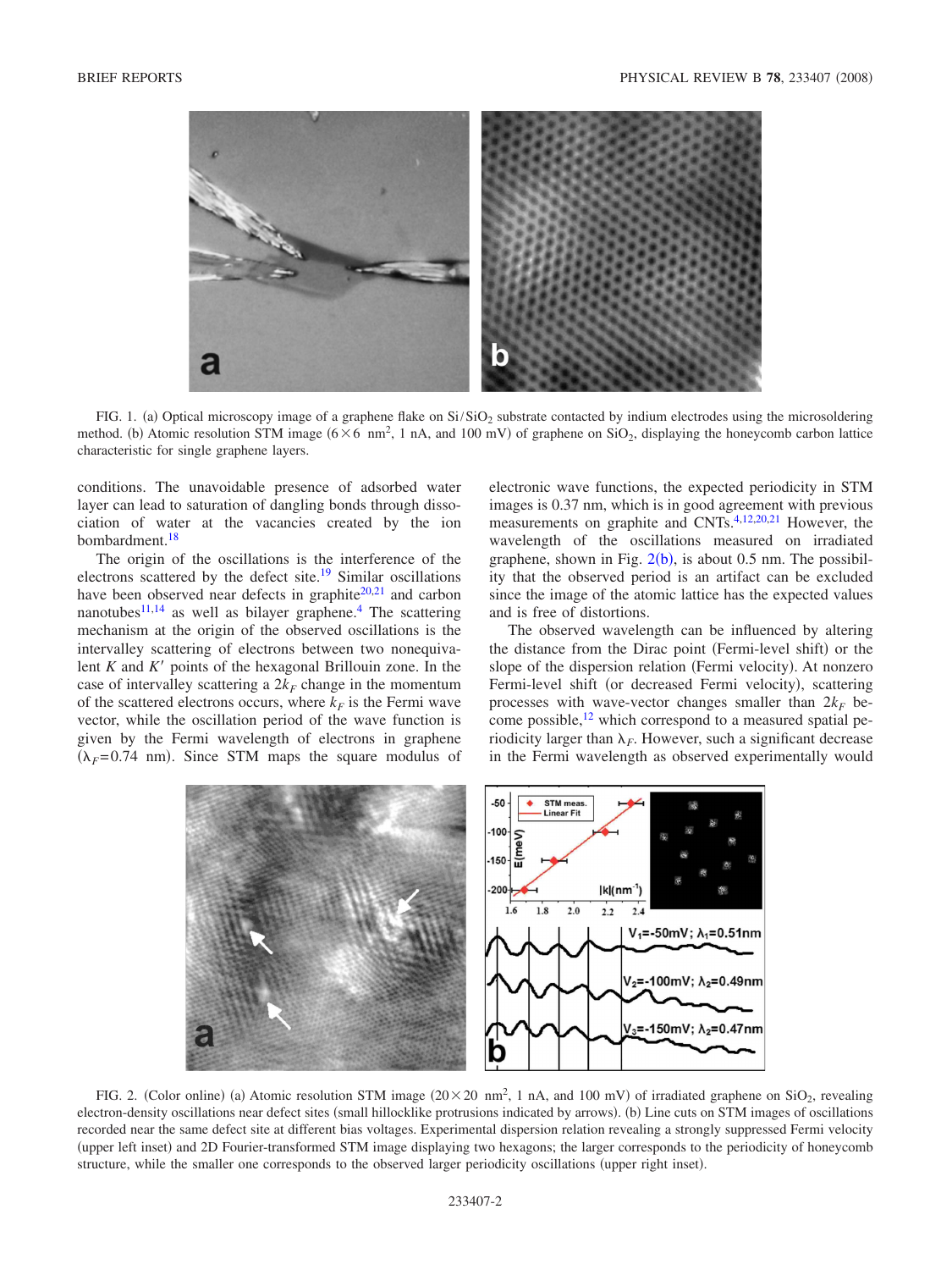<span id="page-1-0"></span>

FIG. 1. (a) Optical microscopy image of a graphene flake on  $Si/SiO<sub>2</sub>$  substrate contacted by indium electrodes using the microsoldering method. (b) Atomic resolution STM image  $(6 \times 6 \text{ nm}^2, 1 \text{ nA})$ , and 100 mV) of graphene on SiO<sub>2</sub>, displaying the honeycomb carbon lattice characteristic for single graphene layers.

conditions. The unavoidable presence of adsorbed water layer can lead to saturation of dangling bonds through dissociation of water at the vacancies created by the ion bombardment[.18](#page-3-15)

The origin of the oscillations is the interference of the electrons scattered by the defect site[.19](#page-3-16) Similar oscillations have been observed near defects in graphite<sup>20[,21](#page-3-18)</sup> and carbon nanotubes $11,14$  $11,14$  as well as bilayer graphene.<sup>4</sup> The scattering mechanism at the origin of the observed oscillations is the intervalley scattering of electrons between two nonequivalent  $K$  and  $K'$  points of the hexagonal Brillouin zone. In the case of intervalley scattering a  $2k_F$  change in the momentum of the scattered electrons occurs, where  $k_F$  is the Fermi wave vector, while the oscillation period of the wave function is given by the Fermi wavelength of electrons in graphene  $(\lambda_F = 0.74 \text{ nm})$ . Since STM maps the square modulus of

electronic wave functions, the expected periodicity in STM images is 0.37 nm, which is in good agreement with previous measurements on graphite and CNTs[.4,](#page-3-3)[12](#page-3-9)[,20](#page-3-17)[,21](#page-3-18) However, the wavelength of the oscillations measured on irradiated graphene, shown in Fig.  $2(b)$  $2(b)$ , is about 0.5 nm. The possibility that the observed period is an artifact can be excluded since the image of the atomic lattice has the expected values and is free of distortions.

The observed wavelength can be influenced by altering the distance from the Dirac point (Fermi-level shift) or the slope of the dispersion relation (Fermi velocity). At nonzero Fermi-level shift (or decreased Fermi velocity), scattering processes with wave-vector changes smaller than  $2k_F$  become possible, $^{12}$  which correspond to a measured spatial periodicity larger than  $\lambda_F$ . However, such a significant decrease in the Fermi wavelength as observed experimentally would

<span id="page-1-1"></span>

FIG. 2. (Color online) (a) Atomic resolution STM image  $(20 \times 20 \text{ nm}^2, 1 \text{ nA})$ , and 100 mV) of irradiated graphene on SiO<sub>2</sub>, revealing electron-density oscillations near defect sites (small hillocklike protrusions indicated by arrows). (b) Line cuts on STM images of oscillations recorded near the same defect site at different bias voltages. Experimental dispersion relation revealing a strongly suppressed Fermi velocity (upper left inset) and 2D Fourier-transformed STM image displaying two hexagons; the larger corresponds to the periodicity of honeycomb structure, while the smaller one corresponds to the observed larger periodicity oscillations (upper right inset).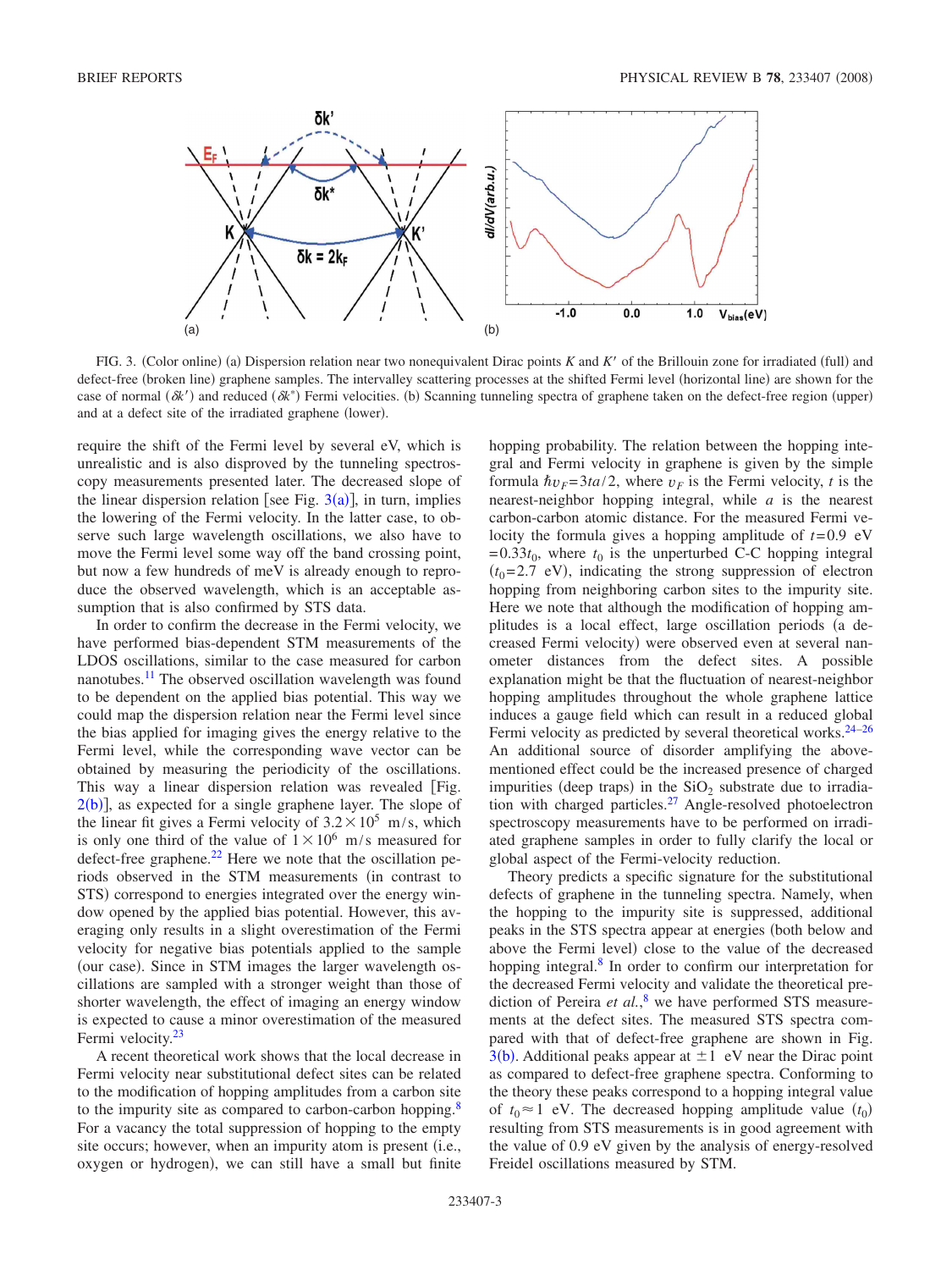<span id="page-2-0"></span>

FIG. 3. (Color online) (a) Dispersion relation near two nonequivalent Dirac points *K* and *K'* of the Brillouin zone for irradiated (full) and defect-free (broken line) graphene samples. The intervalley scattering processes at the shifted Fermi level (horizontal line) are shown for the case of normal ( $\delta k'$ ) and reduced ( $\delta k^*$ ) Fermi velocities. (b) Scanning tunneling spectra of graphene taken on the defect-free region (upper) and at a defect site of the irradiated graphene (lower).

require the shift of the Fermi level by several eV, which is unrealistic and is also disproved by the tunneling spectroscopy measurements presented later. The decreased slope of the linear dispersion relation [see Fig.  $3(a)$  $3(a)$ ], in turn, implies the lowering of the Fermi velocity. In the latter case, to observe such large wavelength oscillations, we also have to move the Fermi level some way off the band crossing point, but now a few hundreds of meV is already enough to reproduce the observed wavelength, which is an acceptable assumption that is also confirmed by STS data.

In order to confirm the decrease in the Fermi velocity, we have performed bias-dependent STM measurements of the LDOS oscillations, similar to the case measured for carbon nanotubes.<sup>11</sup> The observed oscillation wavelength was found to be dependent on the applied bias potential. This way we could map the dispersion relation near the Fermi level since the bias applied for imaging gives the energy relative to the Fermi level, while the corresponding wave vector can be obtained by measuring the periodicity of the oscillations. This way a linear dispersion relation was revealed Fig.  $2(b)$  $2(b)$ ], as expected for a single graphene layer. The slope of the linear fit gives a Fermi velocity of  $3.2 \times 10^5$  m/s, which is only one third of the value of  $1 \times 10^6$  m/s measured for defect-free graphene. $^{22}$  Here we note that the oscillation periods observed in the STM measurements (in contrast to STS) correspond to energies integrated over the energy window opened by the applied bias potential. However, this averaging only results in a slight overestimation of the Fermi velocity for negative bias potentials applied to the sample (our case). Since in STM images the larger wavelength oscillations are sampled with a stronger weight than those of shorter wavelength, the effect of imaging an energy window is expected to cause a minor overestimation of the measured Fermi velocity.<sup>23</sup>

A recent theoretical work shows that the local decrease in Fermi velocity near substitutional defect sites can be related to the modification of hopping amplitudes from a carbon site to the impurity site as compared to carbon-carbon hopping.<sup>8</sup> For a vacancy the total suppression of hopping to the empty site occurs; however, when an impurity atom is present (i.e., oxygen or hydrogen), we can still have a small but finite

hopping probability. The relation between the hopping integral and Fermi velocity in graphene is given by the simple formula  $\hbar v_F = 3ta/2$ , where  $v_F$  is the Fermi velocity, *t* is the nearest-neighbor hopping integral, while *a* is the nearest carbon-carbon atomic distance. For the measured Fermi velocity the formula gives a hopping amplitude of *t*=0.9 eV  $=0.33t_0$ , where  $t_0$  is the unperturbed C-C hopping integral  $(t<sub>0</sub>=2.7$  eV), indicating the strong suppression of electron hopping from neighboring carbon sites to the impurity site. Here we note that although the modification of hopping amplitudes is a local effect, large oscillation periods (a decreased Fermi velocity) were observed even at several nanometer distances from the defect sites. A possible explanation might be that the fluctuation of nearest-neighbor hopping amplitudes throughout the whole graphene lattice induces a gauge field which can result in a reduced global Fermi velocity as predicted by several theoretical works. $24-26$ An additional source of disorder amplifying the abovementioned effect could be the increased presence of charged impurities (deep traps) in the  $SiO<sub>2</sub>$  substrate due to irradiation with charged particles.<sup>27</sup> Angle-resolved photoelectron spectroscopy measurements have to be performed on irradiated graphene samples in order to fully clarify the local or global aspect of the Fermi-velocity reduction.

Theory predicts a specific signature for the substitutional defects of graphene in the tunneling spectra. Namely, when the hopping to the impurity site is suppressed, additional peaks in the STS spectra appear at energies (both below and above the Fermi level) close to the value of the decreased hopping integral.<sup>8</sup> In order to confirm our interpretation for the decreased Fermi velocity and validate the theoretical prediction of Pereira *et al.*, [8](#page-3-21) we have performed STS measurements at the defect sites. The measured STS spectra compared with that of defect-free graphene are shown in Fig.  $3(b)$  $3(b)$ . Additional peaks appear at  $\pm 1$  eV near the Dirac point as compared to defect-free graphene spectra. Conforming to the theory these peaks correspond to a hopping integral value of  $t_0 \approx 1$  eV. The decreased hopping amplitude value  $(t_0)$ resulting from STS measurements is in good agreement with the value of 0.9 eV given by the analysis of energy-resolved Freidel oscillations measured by STM.